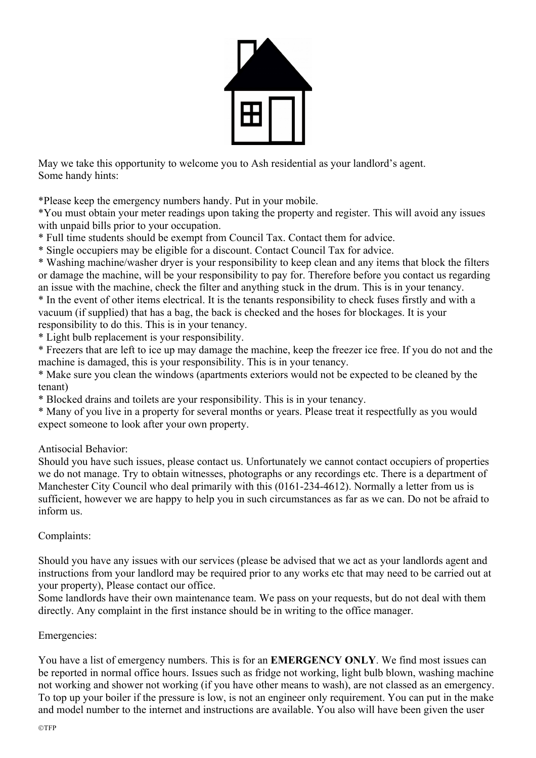

May we take this opportunity to welcome you to Ash residential as your landlord's agent. Some handy hints:

\*Please keep the emergency numbers handy. Put in your mobile.

\*You must obtain your meter readings upon taking the property and register. This will avoid any issues with unpaid bills prior to your occupation.

\* Full time students should be exempt from Council Tax. Contact them for advice.

\* Single occupiers may be eligible for a discount. Contact Council Tax for advice.

\* Washing machine/washer dryer is your responsibility to keep clean and any items that block the filters or damage the machine, will be your responsibility to pay for. Therefore before you contact us regarding an issue with the machine, check the filter and anything stuck in the drum. This is in your tenancy.

\* In the event of other items electrical. It is the tenants responsibility to check fuses firstly and with a vacuum (if supplied) that has a bag, the back is checked and the hoses for blockages. It is your responsibility to do this. This is in your tenancy.

\* Light bulb replacement is your responsibility.

\* Freezers that are left to ice up may damage the machine, keep the freezer ice free. If you do not and the machine is damaged, this is your responsibility. This is in your tenancy.

\* Make sure you clean the windows (apartments exteriors would not be expected to be cleaned by the tenant)

\* Blocked drains and toilets are your responsibility. This is in your tenancy.

\* Many of you live in a property for several months or years. Please treat it respectfully as you would expect someone to look after your own property.

Antisocial Behavior:

Should you have such issues, please contact us. Unfortunately we cannot contact occupiers of properties we do not manage. Try to obtain witnesses, photographs or any recordings etc. There is a department of Manchester City Council who deal primarily with this (0161-234-4612). Normally a letter from us is sufficient, however we are happy to help you in such circumstances as far as we can. Do not be afraid to inform us.

## Complaints:

Should you have any issues with our services (please be advised that we act as your landlords agent and instructions from your landlord may be required prior to any works etc that may need to be carried out at your property), Please contact our office.

Some landlords have their own maintenance team. We pass on your requests, but do not deal with them directly. Any complaint in the first instance should be in writing to the office manager.

## Emergencies:

You have a list of emergency numbers. This is for an **EMERGENCY ONLY**. We find most issues can be reported in normal office hours. Issues such as fridge not working, light bulb blown, washing machine not working and shower not working (if you have other means to wash), are not classed as an emergency. To top up your boiler if the pressure is low, is not an engineer only requirement. You can put in the make and model number to the internet and instructions are available. You also will have been given the user